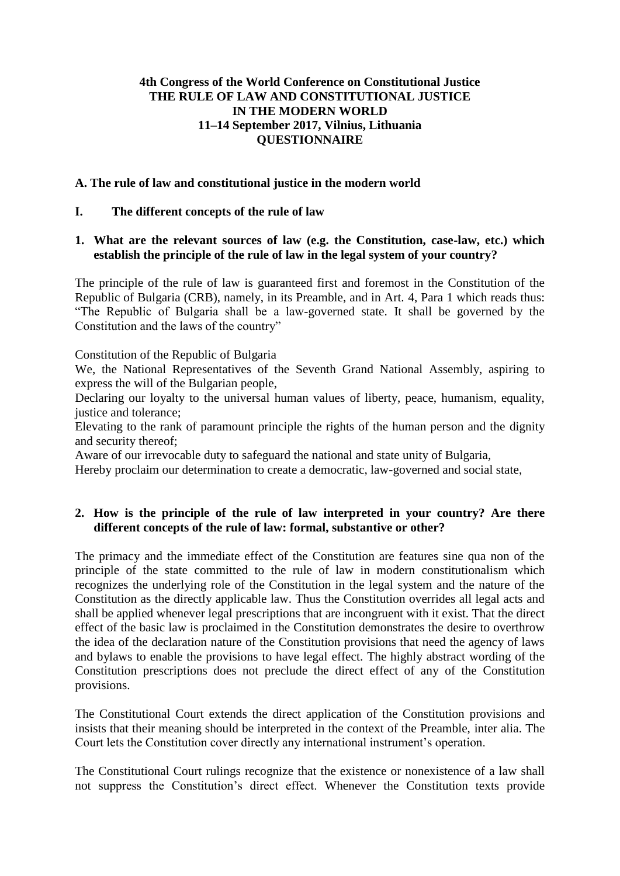### **4th Congress of the World Conference on Constitutional Justice THE RULE OF LAW AND CONSTITUTIONAL JUSTICE IN THE MODERN WORLD 11–14 September 2017, Vilnius, Lithuania QUESTIONNAIRE**

#### **A. The rule of law and constitutional justice in the modern world**

#### **І. The different concepts of the rule of law**

#### **1. What are the relevant sources of law (e.g. the Constitution, case-law, etc.) which establish the principle of the rule of law in the legal system of your country?**

The principle of the rule of law is guaranteed first and foremost in the Constitution of the Republic of Bulgaria (CRB), namely, in its Preamble, and in Art. 4, Para 1 which reads thus: "The Republic of Bulgaria shall be a law-governed state. It shall be governed by the Constitution and the laws of the country"

Constitution of the Republic of Bulgaria

We, the National Representatives of the Seventh Grand National Assembly, aspiring to express the will of the Bulgarian people,

Declaring our loyalty to the universal human values of liberty, peace, humanism, equality, justice and tolerance;

Elevating to the rank of paramount principle the rights of the human person and the dignity and security thereof;

Aware of our irrevocable duty to safeguard the national and state unity of Bulgaria,

Hereby proclaim our determination to create a democratic, law-governed and social state,

## **2. How is the principle of the rule of law interpreted in your country? Are there different concepts of the rule of law: formal, substantive or other?**

The primacy and the immediate effect of the Constitution are features sine qua non of the principle of the state committed to the rule of law in modern constitutionalism which recognizes the underlying role of the Constitution in the legal system and the nature of the Constitution as the directly applicable law. Thus the Constitution overrides all legal acts and shall be applied whenever legal prescriptions that are incongruent with it exist. That the direct effect of the basic law is proclaimed in the Constitution demonstrates the desire to overthrow the idea of the declaration nature of the Constitution provisions that need the agency of laws and bylaws to enable the provisions to have legal effect. The highly abstract wording of the Constitution prescriptions does not preclude the direct effect of any of the Constitution provisions.

The Constitutional Court extends the direct application of the Constitution provisions and insists that their meaning should be interpreted in the context of the Preamble, inter alia. The Court lets the Constitution cover directly any international instrument's operation.

The Constitutional Court rulings recognize that the existence or nonexistence of a law shall not suppress the Constitution's direct effect. Whenever the Constitution texts provide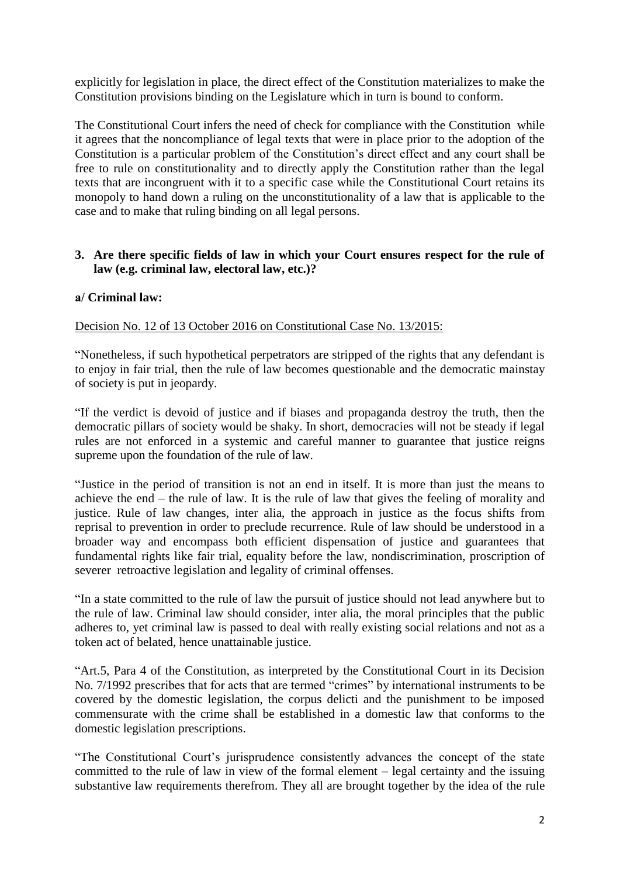explicitly for legislation in place, the direct effect of the Constitution materializes to make the Constitution provisions binding on the Legislature which in turn is bound to conform.

The Constitutional Court infers the need of check for compliance with the Constitution while it agrees that the noncompliance of legal texts that were in place prior to the adoption of the Constitution is a particular problem of the Constitution's direct effect and any court shall be free to rule on constitutionality and to directly apply the Constitution rather than the legal texts that are incongruent with it to a specific case while the Constitutional Court retains its monopoly to hand down a ruling on the unconstitutionality of a law that is applicable to the case and to make that ruling binding on all legal persons.

## **3. Are there specific fields of law in which your Court ensures respect for the rule of law (e.g. criminal law, electoral law, etc.)?**

## **а/ Criminal law:**

Decision No. 12 of 13 October 2016 on Constitutional Case No. 13/2015:

"Nonetheless, if such hypothetical perpetrators are stripped of the rights that any defendant is to enjoy in fair trial, then the rule of law becomes questionable and the democratic mainstay of society is put in jeopardy.

"If the verdict is devoid of justice and if biases and propaganda destroy the truth, then the democratic pillars of society would be shaky. In short, democracies will not be steady if legal rules are not enforced in a systemic and careful manner to guarantee that justice reigns supreme upon the foundation of the rule of law.

"Justice in the period of transition is not an end in itself. It is more than just the means to achieve the end – the rule of law. It is the rule of law that gives the feeling of morality and justice. Rule of law changes, inter alia, the approach in justice as the focus shifts from reprisal to prevention in order to preclude recurrence. Rule of law should be understood in a broader way and encompass both efficient dispensation of justice and guarantees that fundamental rights like fair trial, equality before the law, nondiscrimination, proscription of severer retroactive legislation and legality of criminal offenses.

"In a state committed to the rule of law the pursuit of justice should not lead anywhere but to the rule of law. Criminal law should consider, inter alia, the moral principles that the public adheres to, yet criminal law is passed to deal with really existing social relations and not as a token act of belated, hence unattainable justice.

"Art.5, Para 4 of the Constitution, as interpreted by the Constitutional Court in its Decision No. 7/1992 prescribes that for acts that are termed "crimes" by international instruments to be covered by the domestic legislation, the corpus delicti and the punishment to be imposed commensurate with the crime shall be established in a domestic law that conforms to the domestic legislation prescriptions.

"The Constitutional Court's jurisprudence consistently advances the concept of the state committed to the rule of law in view of the formal element – legal certainty and the issuing substantive law requirements therefrom. They all are brought together by the idea of the rule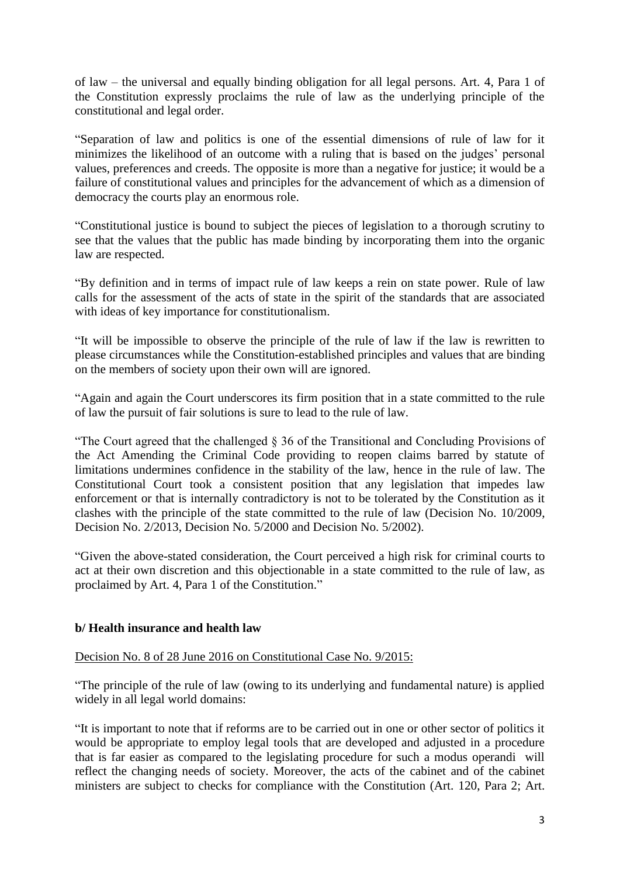of law – the universal and equally binding obligation for all legal persons. Art. 4, Para 1 of the Constitution expressly proclaims the rule of law as the underlying principle of the constitutional and legal order.

"Separation of law and politics is one of the essential dimensions of rule of law for it minimizes the likelihood of an outcome with a ruling that is based on the judges' personal values, preferences and creeds. The opposite is more than a negative for justice; it would be a failure of constitutional values and principles for the advancement of which as a dimension of democracy the courts play an enormous role.

"Constitutional justice is bound to subject the pieces of legislation to a thorough scrutiny to see that the values that the public has made binding by incorporating them into the organic law are respected.

"By definition and in terms of impact rule of law keeps a rein on state power. Rule of law calls for the assessment of the acts of state in the spirit of the standards that are associated with ideas of key importance for constitutionalism.

"It will be impossible to observe the principle of the rule of law if the law is rewritten to please circumstances while the Constitution-established principles and values that are binding on the members of society upon their own will are ignored.

"Again and again the Court underscores its firm position that in a state committed to the rule of law the pursuit of fair solutions is sure to lead to the rule of law.

"The Court agreed that the challenged § 36 of the Transitional and Concluding Provisions of the Act Amending the Criminal Code providing to reopen claims barred by statute of limitations undermines confidence in the stability of the law, hence in the rule of law. The Constitutional Court took a consistent position that any legislation that impedes law enforcement or that is internally contradictory is not to be tolerated by the Constitution as it clashes with the principle of the state committed to the rule of law (Decision No. 10/2009, Decision No. 2/2013, Decision No. 5/2000 and Decision No. 5/2002).

"Given the above-stated consideration, the Court perceived a high risk for criminal courts to act at their own discretion and this objectionable in a state committed to the rule of law, as proclaimed by Art. 4, Para 1 of the Constitution."

# **b/ Health insurance and health law**

Decision No. 8 of 28 June 2016 on Constitutional Case No. 9/2015:

"The principle of the rule of law (owing to its underlying and fundamental nature) is applied widely in all legal world domains:

"It is important to note that if reforms are to be carried out in one or other sector of politics it would be appropriate to employ legal tools that are developed and adjusted in a procedure that is far easier as compared to the legislating procedure for such a modus operandi will reflect the changing needs of society. Moreover, the acts of the cabinet and of the cabinet ministers are subject to checks for compliance with the Constitution (Art. 120, Para 2; Art.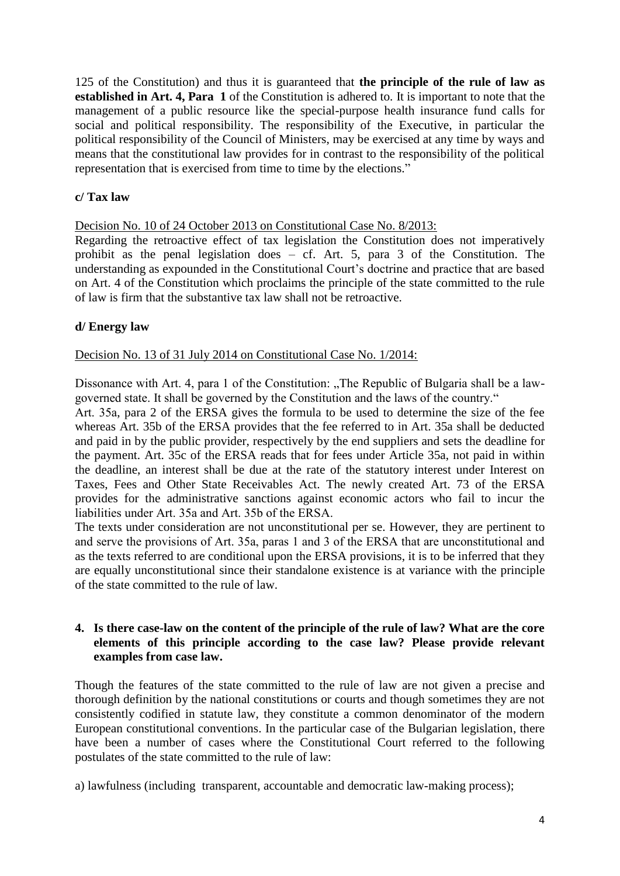125 of the Constitution) and thus it is guaranteed that **the principle of the rule of law as established in Art. 4, Para 1** of the Constitution is adhered to. It is important to note that the management of a public resource like the special-purpose health insurance fund calls for social and political responsibility. The responsibility of the Executive, in particular the political responsibility of the Council of Ministers, may be exercised at any time by ways and means that the constitutional law provides for in contrast to the responsibility of the political representation that is exercised from time to time by the elections."

# **c/ Tax law**

Decision No. 10 of 24 October 2013 on Constitutional Case No. 8/2013:

Regarding the retroactive effect of tax legislation the Constitution does not imperatively prohibit as the penal legislation does – cf. Art. 5, para 3 of the Constitution. The understanding as expounded in the Constitutional Court's doctrine and practice that are based on Art. 4 of the Constitution which proclaims the principle of the state committed to the rule of law is firm that the substantive tax law shall not be retroactive.

# **d/ Energy law**

Decision No. 13 of 31 July 2014 on Constitutional Case No. 1/2014:

Dissonance with Art. 4, para 1 of the Constitution: "The Republic of Bulgaria shall be a lawgoverned state. It shall be governed by the Constitution and the laws of the country."

Art. 35а, para 2 of the ERSA gives the formula to be used to determine the size of the fee whereas Art. 35b of the ERSA provides that the fee referred to in Art. 35a shall be deducted and paid in by the public provider, respectively by the end suppliers and sets the deadline for the payment. Art. 35c of the ERSA reads that for fees under Article 35a, not paid in within the deadline, an interest shall be due at the rate of the statutory interest under Interest on Taxes, Fees and Other State Receivables Act. The newly created Art. 73 of the ERSA provides for the administrative sanctions against economic actors who fail to incur the liabilities under Art. 35а and Art. 35b of the ERSA.

The texts under consideration are not unconstitutional per se. However, they are pertinent to and serve the provisions of Art. 35а, paras 1 and 3 of the ERSA that are unconstitutional and as the texts referred to are conditional upon the ERSA provisions, it is to be inferred that they are equally unconstitutional since their standalone existence is at variance with the principle of the state committed to the rule of law.

# **4. Is there case-law on the content of the principle of the rule of law? What are the core elements of this principle according to the case law? Please provide relevant examples from case law.**

Though the features of the state committed to the rule of law are not given a precise and thorough definition by the national constitutions or courts and though sometimes they are not consistently codified in statute law, they constitute a common denominator of the modern European constitutional conventions. In the particular case of the Bulgarian legislation, there have been a number of cases where the Constitutional Court referred to the following postulates of the state committed to the rule of law:

a) lawfulness (including transparent, accountable and democratic law-making process);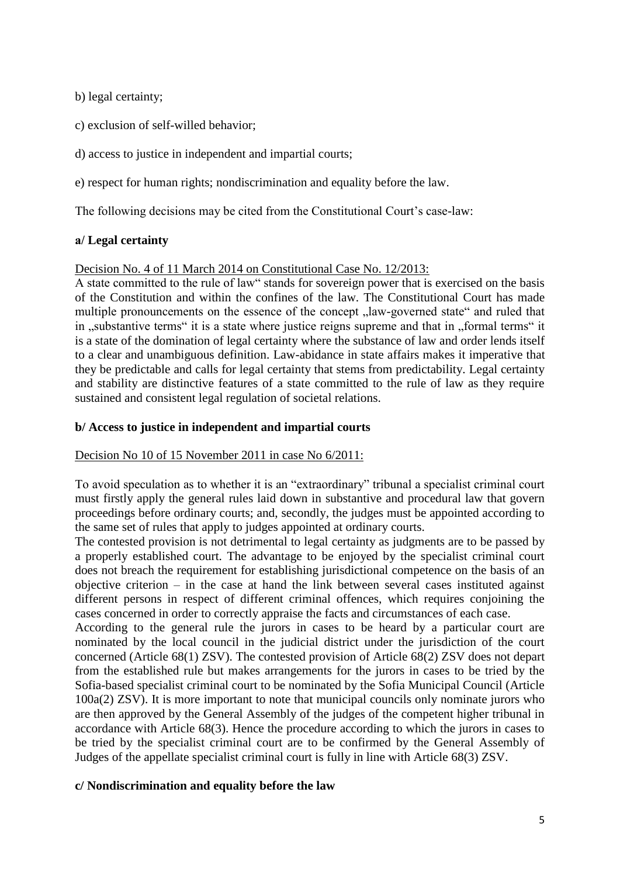b) legal certainty;

- c) exclusion of self-willed behavior;
- d) access to justice in independent and impartial courts;

e) respect for human rights; nondiscrimination and equality before the law.

The following decisions may be cited from the Constitutional Court's case-law:

# **а/ Legal certainty**

#### Decision No. 4 of 11 March 2014 on Constitutional Case No. 12/2013:

A state committed to the rule of law" stands for sovereign power that is exercised on the basis of the Constitution and within the confines of the law. The Constitutional Court has made multiple pronouncements on the essence of the concept  $\mu$ law-governed state" and ruled that in ..substantive terms "it is a state where justice reigns supreme and that in ..formal terms "it is a state of the domination of legal certainty where the substance of law and order lends itself to a clear and unambiguous definition. Law-abidance in state affairs makes it imperative that they be predictable and calls for legal certainty that stems from predictability. Legal certainty and stability are distinctive features of a state committed to the rule of law as they require sustained and consistent legal regulation of societal relations.

### **b/ Access to justice in independent and impartial courts**

#### Decision No 10 of 15 November 2011 in case No 6/2011:

To avoid speculation as to whether it is an "extraordinary" tribunal a specialist criminal court must firstly apply the general rules laid down in substantive and procedural law that govern proceedings before ordinary courts; and, secondly, the judges must be appointed according to the same set of rules that apply to judges appointed at ordinary courts.

The contested provision is not detrimental to legal certainty as judgments are to be passed by a properly established court. The advantage to be enjoyed by the specialist criminal court does not breach the requirement for establishing jurisdictional competence on the basis of an objective criterion – in the case at hand the link between several cases instituted against different persons in respect of different criminal offences, which requires conjoining the cases concerned in order to correctly appraise the facts and circumstances of each case.

According to the general rule the jurors in cases to be heard by a particular court are nominated by the local council in the judicial district under the jurisdiction of the court concerned (Article 68(1) ZSV). The contested provision of Article 68(2) ZSV does not depart from the established rule but makes arrangements for the jurors in cases to be tried by the Sofia-based specialist criminal court to be nominated by the Sofia Municipal Council (Article 100a(2) ZSV). It is more important to note that municipal councils only nominate jurors who are then approved by the General Assembly of the judges of the competent higher tribunal in accordance with Article 68(3). Hence the procedure according to which the jurors in cases to be tried by the specialist criminal court are to be confirmed by the General Assembly of Judges of the appellate specialist criminal court is fully in line with Article 68(3) ZSV.

# **c/ Nondiscrimination and equality before the law**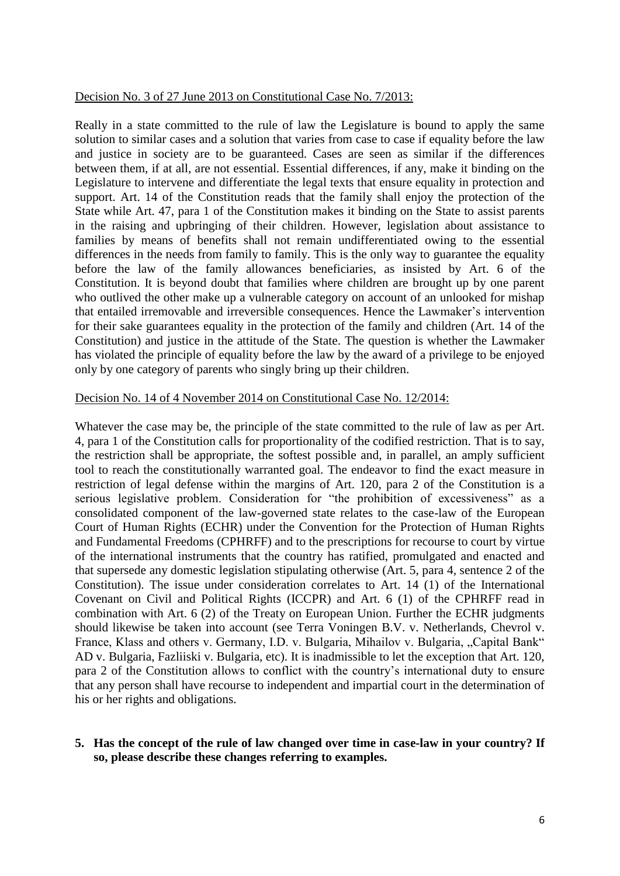#### Decision No. 3 of 27 June 2013 on Constitutional Case No. 7/2013:

Really in a state committed to the rule of law the Legislature is bound to apply the same solution to similar cases and a solution that varies from case to case if equality before the law and justice in society are to be guaranteed. Cases are seen as similar if the differences between them, if at all, are not essential. Essential differences, if any, make it binding on the Legislature to intervene and differentiate the legal texts that ensure equality in protection and support. Art. 14 of the Constitution reads that the family shall enjoy the protection of the State while Art. 47, para 1 of the Constitution makes it binding on the State to assist parents in the raising and upbringing of their children. However, legislation about assistance to families by means of benefits shall not remain undifferentiated owing to the essential differences in the needs from family to family. This is the only way to guarantee the equality before the law of the family allowances beneficiaries, as insisted by Art. 6 of the Constitution. It is beyond doubt that families where children are brought up by one parent who outlived the other make up a vulnerable category on account of an unlooked for mishap that entailed irremovable and irreversible consequences. Hence the Lawmaker's intervention for their sake guarantees equality in the protection of the family and children (Art. 14 of the Constitution) and justice in the attitude of the State. The question is whether the Lawmaker has violated the principle of equality before the law by the award of a privilege to be enjoyed only by one category of parents who singly bring up their children.

#### Decision No. 14 of 4 November 2014 on Constitutional Case No. 12/2014:

Whatever the case may be, the principle of the state committed to the rule of law as per Art. 4, para 1 of the Constitution calls for proportionality of the codified restriction. That is to say, the restriction shall be appropriate, the softest possible and, in parallel, an amply sufficient tool to reach the constitutionally warranted goal. The endeavor to find the exact measure in restriction of legal defense within the margins of Art. 120, para 2 of the Constitution is a serious legislative problem. Consideration for "the prohibition of excessiveness" as a consolidated component of the law-governed state relates to the case-law of the European Court of Human Rights (ECHR) under the Convention for the Protection of Human Rights and Fundamental Freedoms (CPHRFF) and to the prescriptions for recourse to court by virtue of the international instruments that the country has ratified, promulgated and enacted and that supersede any domestic legislation stipulating otherwise (Art. 5, para 4, sentence 2 of the Constitution). The issue under consideration correlates to Art. 14 (1) of the International Covenant on Civil and Political Rights (ICCPR) and Art. 6 (1) of the CPHRFF read in combination with Art. 6 (2) of the Treaty on European Union. Further the ECHR judgments should likewise be taken into account (see Terra Voningen B.V. v. Netherlands, Chevrol v. France, Klass and others v. Germany, I.D. v. Bulgaria, Mihailov v. Bulgaria, "Capital Bank" AD v. Bulgaria, Fazliiski v. Bulgaria, etc). It is inadmissible to let the exception that Art. 120, para 2 of the Constitution allows to conflict with the country's international duty to ensure that any person shall have recourse to independent and impartial court in the determination of his or her rights and obligations.

#### **5. Has the concept of the rule of law changed over time in case-law in your country? If so, please describe these changes referring to examples.**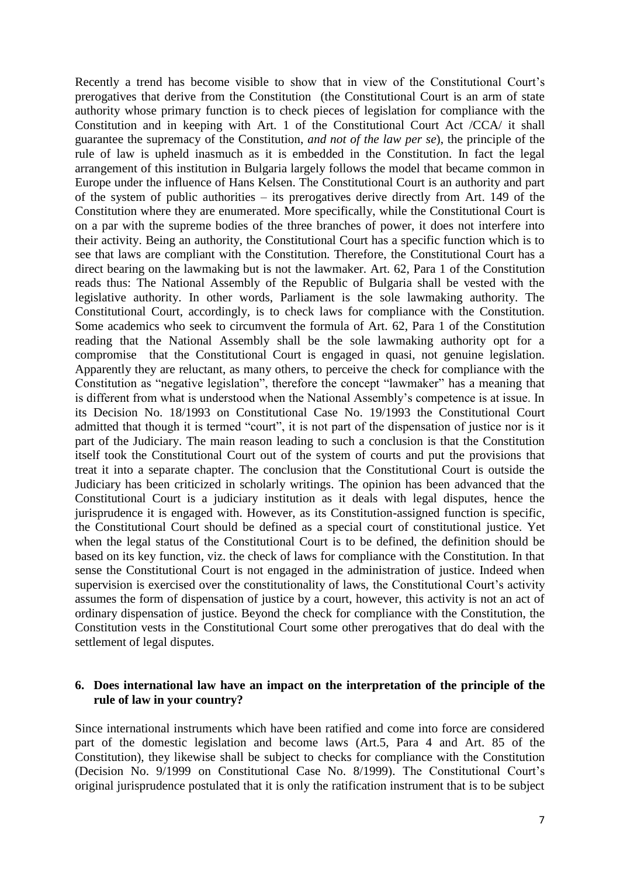Recently a trend has become visible to show that in view of the Constitutional Court's prerogatives that derive from the Constitution (the Constitutional Court is an arm of state authority whose primary function is to check pieces of legislation for compliance with the Constitution and in keeping with Art. 1 of the Constitutional Court Act /CCA/ it shall guarantee the supremacy of the Constitution, *and not of the law per se*), the principle of the rule of law is upheld inasmuch as it is embedded in the Constitution. In fact the legal arrangement of this institution in Bulgaria largely follows the model that became common in Europe under the influence of Hans Kelsen. The Constitutional Court is an authority and part of the system of public authorities – its prerogatives derive directly from Art. 149 of the Constitution where they are enumerated. More specifically, while the Constitutional Court is on a par with the supreme bodies of the three branches of power, it does not interfere into their activity. Being an authority, the Constitutional Court has a specific function which is to see that laws are compliant with the Constitution. Therefore, the Constitutional Court has a direct bearing on the lawmaking but is not the lawmaker. Art. 62, Para 1 of the Constitution reads thus: The National Assembly of the Republic of Bulgaria shall be vested with the legislative authority. In other words, Parliament is the sole lawmaking authority. The Constitutional Court, accordingly, is to check laws for compliance with the Constitution. Some academics who seek to circumvent the formula of Art. 62, Para 1 of the Constitution reading that the National Assembly shall be the sole lawmaking authority opt for a compromise that the Constitutional Court is engaged in quasi, not genuine legislation. Apparently they are reluctant, as many others, to perceive the check for compliance with the Constitution as "negative legislation", therefore the concept "lawmaker" has a meaning that is different from what is understood when the National Assembly's competence is at issue. In its Decision No. 18/1993 on Constitutional Case No. 19/1993 the Constitutional Court admitted that though it is termed "court", it is not part of the dispensation of justice nor is it part of the Judiciary. The main reason leading to such a conclusion is that the Constitution itself took the Constitutional Court out of the system of courts and put the provisions that treat it into a separate chapter. The conclusion that the Constitutional Court is outside the Judiciary has been criticized in scholarly writings. The opinion has been advanced that the Constitutional Court is a judiciary institution as it deals with legal disputes, hence the jurisprudence it is engaged with. However, as its Constitution-assigned function is specific, the Constitutional Court should be defined as a special court of constitutional justice. Yet when the legal status of the Constitutional Court is to be defined, the definition should be based on its key function, viz. the check of laws for compliance with the Constitution. In that sense the Constitutional Court is not engaged in the administration of justice. Indeed when supervision is exercised over the constitutionality of laws, the Constitutional Court's activity assumes the form of dispensation of justice by a court, however, this activity is not an act of ordinary dispensation of justice. Beyond the check for compliance with the Constitution, the Constitution vests in the Constitutional Court some other prerogatives that do deal with the settlement of legal disputes.

#### **6. Does international law have an impact on the interpretation of the principle of the rule of law in your country?**

Since international instruments which have been ratified and come into force are considered part of the domestic legislation and become laws (Art.5, Para 4 and Art. 85 of the Constitution), they likewise shall be subject to checks for compliance with the Constitution (Decision No. 9/1999 on Constitutional Case No. 8/1999). The Constitutional Court's original jurisprudence postulated that it is only the ratification instrument that is to be subject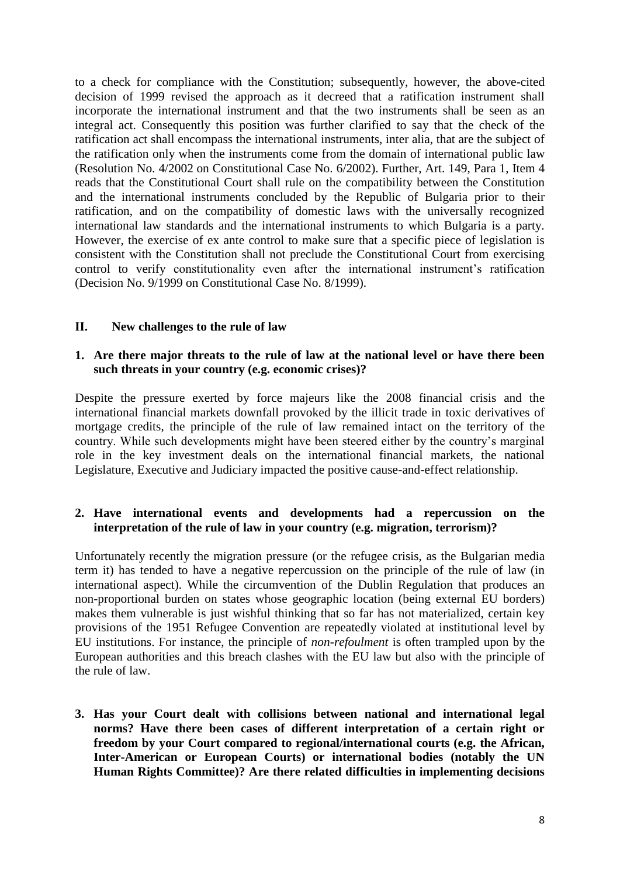to a check for compliance with the Constitution; subsequently, however, the above-cited decision of 1999 revised the approach as it decreed that a ratification instrument shall incorporate the international instrument and that the two instruments shall be seen as an integral act. Consequently this position was further clarified to say that the check of the ratification act shall encompass the international instruments, inter alia, that are the subject of the ratification only when the instruments come from the domain of international public law (Resolution No. 4/2002 on Constitutional Case No. 6/2002). Further, Art. 149, Para 1, Item 4 reads that the Constitutional Court shall rule on the compatibility between the Constitution and the international instruments concluded by the Republic of Bulgaria prior to their ratification, and on the compatibility of domestic laws with the universally recognized international law standards and the international instruments to which Bulgaria is a party. However, the exercise of ex ante control to make sure that a specific piece of legislation is consistent with the Constitution shall not preclude the Constitutional Court from exercising control to verify constitutionality even after the international instrument's ratification (Decision No. 9/1999 on Constitutional Case No. 8/1999).

## **ІІ. New challenges to the rule of law**

### **1. Are there major threats to the rule of law at the national level or have there been such threats in your country (e.g. economic crises)?**

Despite the pressure exerted by force majeurs like the 2008 financial crisis and the international financial markets downfall provoked by the illicit trade in toxic derivatives of mortgage credits, the principle of the rule of law remained intact on the territory of the country. While such developments might have been steered either by the country's marginal role in the key investment deals on the international financial markets, the national Legislature, Executive and Judiciary impacted the positive cause-and-effect relationship.

## **2. Have international events and developments had a repercussion on the interpretation of the rule of law in your country (e.g. migration, terrorism)?**

Unfortunately recently the migration pressure (or the refugee crisis, as the Bulgarian media term it) has tended to have a negative repercussion on the principle of the rule of law (in international aspect). While the circumvention of the Dublin Regulation that produces an non-proportional burden on states whose geographic location (being external EU borders) makes them vulnerable is just wishful thinking that so far has not materialized, certain key provisions of the 1951 Refugee Convention are repeatedly violated at institutional level by EU institutions. For instance, the principle of *non-refoulment* is often trampled upon by the European authorities and this breach clashes with the EU law but also with the principle of the rule of law.

**3. Has your Court dealt with collisions between national and international legal norms? Have there been cases of different interpretation of a certain right or freedom by your Court compared to regional/international courts (e.g. the African, Inter-American or European Courts) or international bodies (notably the UN Human Rights Committee)? Are there related difficulties in implementing decisions**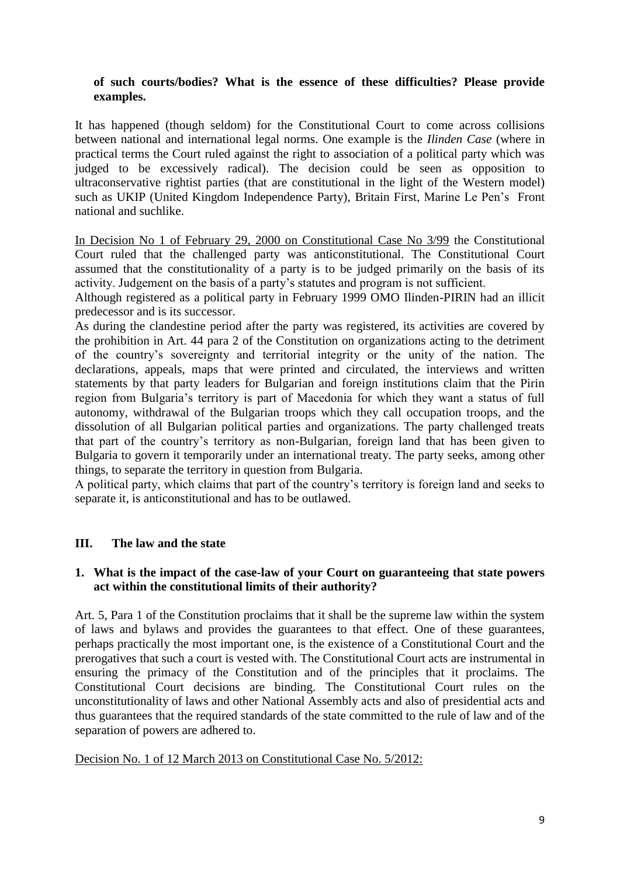# **of such courts/bodies? What is the essence of these difficulties? Please provide examples.**

It has happened (though seldom) for the Constitutional Court to come across collisions between national and international legal norms. One example is the *Ilinden Case* (where in practical terms the Court ruled against the right to association of a political party which was judged to be excessively radical). The decision could be seen as opposition to ultraconservative rightist parties (that are constitutional in the light of the Western model) such as UKIP (United Kingdom Independence Party), Britain First, Marine Le Pen's Front national and suchlike.

In Decision No 1 of February 29, 2000 on Constitutional Case No 3/99 the Constitutional Court ruled that the challenged party was anticonstitutional. The Constitutional Court assumed that the constitutionality of a party is to be judged primarily on the basis of its activity. Judgement on the basis of a party's statutes and program is not sufficient.

Although registered as a political party in February 1999 OMO Ilinden-PIRIN had an illicit predecessor and is its successor.

As during the clandestine period after the party was registered, its activities are covered by the prohibition in Art. 44 para 2 of the Constitution on organizations acting to the detriment of the country's sovereignty and territorial integrity or the unity of the nation. The declarations, appeals, maps that were printed and circulated, the interviews and written statements by that party leaders for Bulgarian and foreign institutions claim that the Pirin region from Bulgaria's territory is part of Macedonia for which they want a status of full autonomy, withdrawal of the Bulgarian troops which they call occupation troops, and the dissolution of all Bulgarian political parties and organizations. The party challenged treats that part of the country's territory as non-Bulgarian, foreign land that has been given to Bulgaria to govern it temporarily under an international treaty. The party seeks, among other things, to separate the territory in question from Bulgaria.

A political party, which claims that part of the country's territory is foreign land and seeks to separate it, is anticonstitutional and has to be outlawed.

# **III. The law and the state**

#### **1. What is the impact of the case-law of your Court on guaranteeing that state powers act within the constitutional limits of their authority?**

Art. 5, Para 1 of the Constitution proclaims that it shall be the supreme law within the system of laws and bylaws and provides the guarantees to that effect. One of these guarantees, perhaps practically the most important one, is the existence of a Constitutional Court and the prerogatives that such a court is vested with. The Constitutional Court acts are instrumental in ensuring the primacy of the Constitution and of the principles that it proclaims. The Constitutional Court decisions are binding. The Constitutional Court rules on the unconstitutionality of laws and other National Assembly acts and also of presidential acts and thus guarantees that the required standards of the state committed to the rule of law and of the separation of powers are adhered to.

#### Decision No. 1 of 12 March 2013 on Constitutional Case No. 5/2012: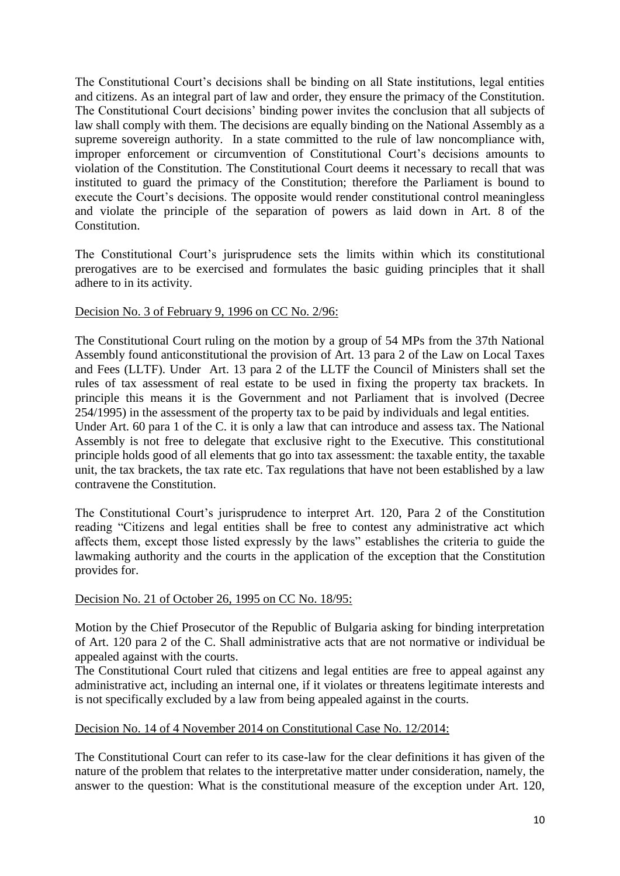The Constitutional Court's decisions shall be binding on all State institutions, legal entities and citizens. As an integral part of law and order, they ensure the primacy of the Constitution. The Constitutional Court decisions' binding power invites the conclusion that all subjects of law shall comply with them. The decisions are equally binding on the National Assembly as a supreme sovereign authority. In a state committed to the rule of law noncompliance with, improper enforcement or circumvention of Constitutional Court's decisions amounts to violation of the Constitution. The Constitutional Court deems it necessary to recall that was instituted to guard the primacy of the Constitution; therefore the Parliament is bound to execute the Court's decisions. The opposite would render constitutional control meaningless and violate the principle of the separation of powers as laid down in Art. 8 of the Constitution.

The Constitutional Court's jurisprudence sets the limits within which its constitutional prerogatives are to be exercised and formulates the basic guiding principles that it shall adhere to in its activity.

## Decision No. 3 of February 9, 1996 on CC No. 2/96:

The Constitutional Court ruling on the motion by a group of 54 MPs from the 37th National Assembly found anticonstitutional the provision of Art. 13 para 2 of the Law on Local Taxes and Fees (LLTF). Under Art. 13 para 2 of the LLTF the Council of Ministers shall set the rules of tax assessment of real estate to be used in fixing the property tax brackets. In principle this means it is the Government and not Parliament that is involved (Decree 254/1995) in the assessment of the property tax to be paid by individuals and legal entities. Under Art. 60 para 1 of the C. it is only a law that can introduce and assess tax. The National Assembly is not free to delegate that exclusive right to the Executive. This constitutional principle holds good of all elements that go into tax assessment: the taxable entity, the taxable unit, the tax brackets, the tax rate etc. Tax regulations that have not been established by a law contravene the Constitution.

The Constitutional Court's jurisprudence to interpret Art. 120, Para 2 of the Constitution reading "Citizens and legal entities shall be free to contest any administrative act which affects them, except those listed expressly by the laws" establishes the criteria to guide the lawmaking authority and the courts in the application of the exception that the Constitution provides for.

#### Decision No. 21 of October 26, 1995 on CC No. 18/95:

Motion by the Chief Prosecutor of the Republic of Bulgaria asking for binding interpretation of Art. 120 para 2 of the C. Shall administrative acts that are not normative or individual be appealed against with the courts.

The Constitutional Court ruled that citizens and legal entities are free to appeal against any administrative act, including an internal one, if it violates or threatens legitimate interests and is not specifically excluded by a law from being appealed against in the courts.

## Decision No. 14 of 4 November 2014 on Constitutional Case No. 12/2014:

The Constitutional Court can refer to its case-law for the clear definitions it has given of the nature of the problem that relates to the interpretative matter under consideration, namely, the answer to the question: What is the constitutional measure of the exception under Art. 120,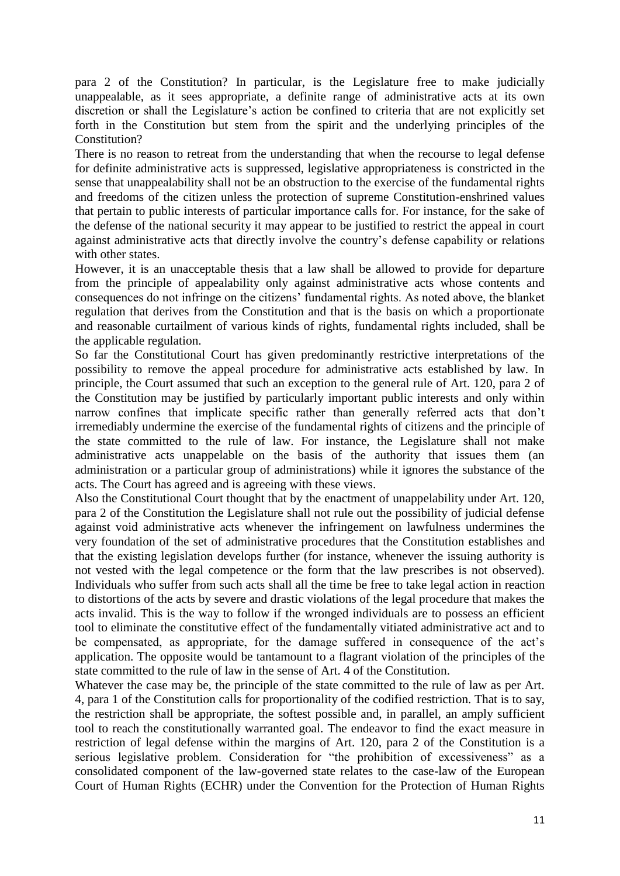para 2 of the Constitution? In particular, is the Legislature free to make judicially unappealable, as it sees appropriate, a definite range of administrative acts at its own discretion or shall the Legislature's action be confined to criteria that are not explicitly set forth in the Constitution but stem from the spirit and the underlying principles of the Constitution?

There is no reason to retreat from the understanding that when the recourse to legal defense for definite administrative acts is suppressed, legislative appropriateness is constricted in the sense that unappealability shall not be an obstruction to the exercise of the fundamental rights and freedoms of the citizen unless the protection of supreme Constitution-enshrined values that pertain to public interests of particular importance calls for. For instance, for the sake of the defense of the national security it may appear to be justified to restrict the appeal in court against administrative acts that directly involve the country's defense capability or relations with other states.

However, it is an unacceptable thesis that a law shall be allowed to provide for departure from the principle of appealability only against administrative acts whose contents and consequences do not infringe on the citizens' fundamental rights. As noted above, the blanket regulation that derives from the Constitution and that is the basis on which a proportionate and reasonable curtailment of various kinds of rights, fundamental rights included, shall be the applicable regulation.

So far the Constitutional Court has given predominantly restrictive interpretations of the possibility to remove the appeal procedure for administrative acts established by law. In principle, the Court assumed that such an exception to the general rule of Art. 120, para 2 of the Constitution may be justified by particularly important public interests and only within narrow confines that implicate specific rather than generally referred acts that don't irremediably undermine the exercise of the fundamental rights of citizens and the principle of the state committed to the rule of law. For instance, the Legislature shall not make administrative acts unappelable on the basis of the authority that issues them (an administration or a particular group of administrations) while it ignores the substance of the acts. The Court has agreed and is agreeing with these views.

Also the Constitutional Court thought that by the enactment of unappelability under Art. 120, para 2 of the Constitution the Legislature shall not rule out the possibility of judicial defense against void administrative acts whenever the infringement on lawfulness undermines the very foundation of the set of administrative procedures that the Constitution establishes and that the existing legislation develops further (for instance, whenever the issuing authority is not vested with the legal competence or the form that the law prescribes is not observed). Individuals who suffer from such acts shall all the time be free to take legal action in reaction to distortions of the acts by severe and drastic violations of the legal procedure that makes the acts invalid. This is the way to follow if the wronged individuals are to possess an efficient tool to eliminate the constitutive effect of the fundamentally vitiated administrative act and to be compensated, as appropriate, for the damage suffered in consequence of the act's application. The opposite would be tantamount to a flagrant violation of the principles of the state committed to the rule of law in the sense of Art. 4 of the Constitution.

Whatever the case may be, the principle of the state committed to the rule of law as per Art. 4, para 1 of the Constitution calls for proportionality of the codified restriction. That is to say, the restriction shall be appropriate, the softest possible and, in parallel, an amply sufficient tool to reach the constitutionally warranted goal. The endeavor to find the exact measure in restriction of legal defense within the margins of Art. 120, para 2 of the Constitution is a serious legislative problem. Consideration for "the prohibition of excessiveness" as a consolidated component of the law-governed state relates to the case-law of the European Court of Human Rights (ECHR) under the Convention for the Protection of Human Rights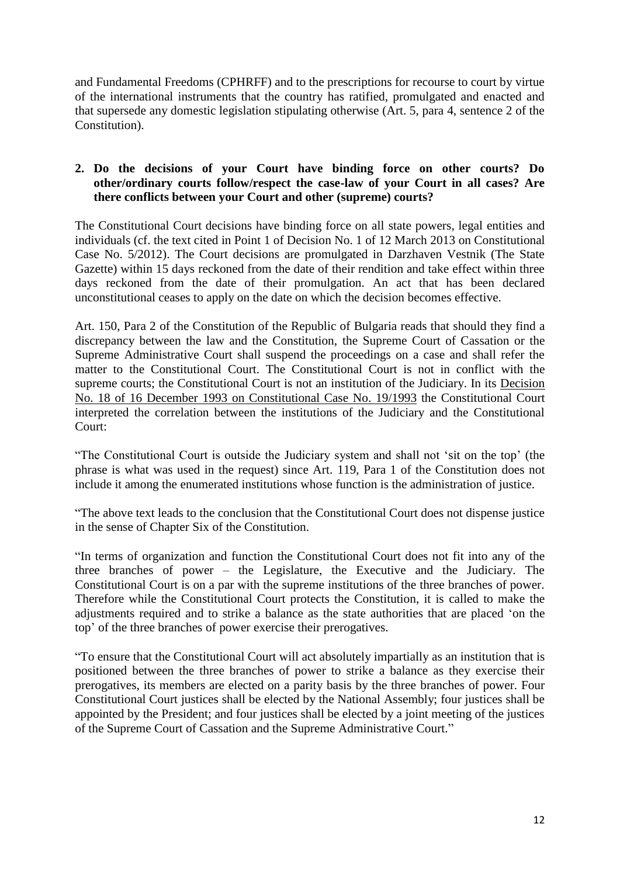and Fundamental Freedoms (CPHRFF) and to the prescriptions for recourse to court by virtue of the international instruments that the country has ratified, promulgated and enacted and that supersede any domestic legislation stipulating otherwise (Art. 5, para 4, sentence 2 of the Constitution).

# **2. Do the decisions of your Court have binding force on other courts? Do other/ordinary courts follow/respect the case-law of your Court in all cases? Are there conflicts between your Court and other (supreme) courts?**

The Constitutional Court decisions have binding force on all state powers, legal entities and individuals (cf. the text cited in Point 1 of Decision No. 1 of 12 March 2013 on Constitutional Case No. 5/2012). The Court decisions are promulgated in Darzhaven Vestnik (The State Gazette) within 15 days reckoned from the date of their rendition and take effect within three days reckoned from the date of their promulgation. An act that has been declared unconstitutional ceases to apply on the date on which the decision becomes effective.

Art. 150, Para 2 of the Constitution of the Republic of Bulgaria reads that should they find a discrepancy between the law and the Constitution, the Supreme Court of Cassation or the Supreme Administrative Court shall suspend the proceedings on a case and shall refer the matter to the Constitutional Court. The Constitutional Court is not in conflict with the supreme courts; the Constitutional Court is not an institution of the Judiciary. In its Decision No. 18 of 16 December 1993 on Constitutional Case No. 19/1993 the Constitutional Court interpreted the correlation between the institutions of the Judiciary and the Constitutional Court:

"The Constitutional Court is outside the Judiciary system and shall not 'sit on the top' (the phrase is what was used in the request) since Art. 119, Para 1 of the Constitution does not include it among the enumerated institutions whose function is the administration of justice.

"The above text leads to the conclusion that the Constitutional Court does not dispense justice in the sense of Chapter Six of the Constitution.

"In terms of organization and function the Constitutional Court does not fit into any of the three branches of power – the Legislature, the Executive and the Judiciary. The Constitutional Court is on a par with the supreme institutions of the three branches of power. Therefore while the Constitutional Court protects the Constitution, it is called to make the adjustments required and to strike a balance as the state authorities that are placed 'on the top' of the three branches of power exercise their prerogatives.

"To ensure that the Constitutional Court will act absolutely impartially as an institution that is positioned between the three branches of power to strike a balance as they exercise their prerogatives, its members are elected on a parity basis by the three branches of power. Four Constitutional Court justices shall be elected by the National Assembly; four justices shall be appointed by the President; and four justices shall be elected by a joint meeting of the justices of the Supreme Court of Cassation and the Supreme Administrative Court."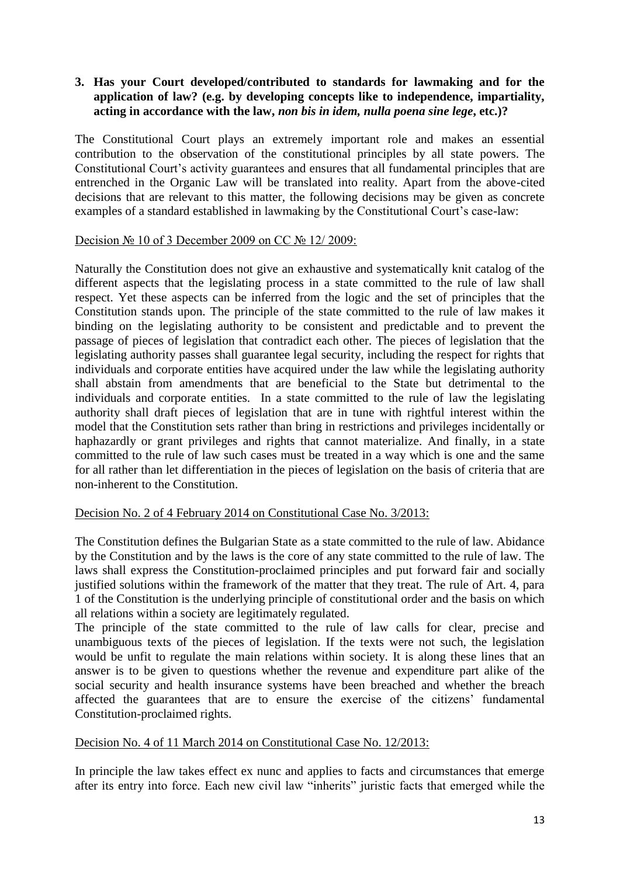# **3. Has your Court developed/contributed to standards for lawmaking and for the application of law? (e.g. by developing concepts like to independence, impartiality, acting in accordance with the law,** *non bis in idem, nulla poena sine lege***, etc.)?**

The Constitutional Court plays an extremely important role and makes an essential contribution to the observation of the constitutional principles by all state powers. The Constitutional Court's activity guarantees and ensures that all fundamental principles that are entrenched in the Organic Law will be translated into reality. Apart from the above-cited decisions that are relevant to this matter, the following decisions may be given as concrete examples of a standard established in lawmaking by the Constitutional Court's case-law:

## Decision № 10 of 3 December 2009 on CC № 12/2009:

Naturally the Constitution does not give an exhaustive and systematically knit catalog of the different aspects that the legislating process in a state committed to the rule of law shall respect. Yet these aspects can be inferred from the logic and the set of principles that the Constitution stands upon. The principle of the state committed to the rule of law makes it binding on the legislating authority to be consistent and predictable and to prevent the passage of pieces of legislation that contradict each other. The pieces of legislation that the legislating authority passes shall guarantee legal security, including the respect for rights that individuals and corporate entities have acquired under the law while the legislating authority shall abstain from amendments that are beneficial to the State but detrimental to the individuals and corporate entities. In a state committed to the rule of law the legislating authority shall draft pieces of legislation that are in tune with rightful interest within the model that the Constitution sets rather than bring in restrictions and privileges incidentally or haphazardly or grant privileges and rights that cannot materialize. And finally, in a state committed to the rule of law such cases must be treated in a way which is one and the same for all rather than let differentiation in the pieces of legislation on the basis of criteria that are non-inherent to the Constitution.

#### Decision No. 2 of 4 February 2014 on Constitutional Case No. 3/2013:

The Constitution defines the Bulgarian State as a state committed to the rule of law. Abidance by the Constitution and by the laws is the core of any state committed to the rule of law. The laws shall express the Constitution-proclaimed principles and put forward fair and socially justified solutions within the framework of the matter that they treat. The rule of Art. 4, para 1 of the Constitution is the underlying principle of constitutional order and the basis on which all relations within a society are legitimately regulated.

The principle of the state committed to the rule of law calls for clear, precise and unambiguous texts of the pieces of legislation. If the texts were not such, the legislation would be unfit to regulate the main relations within society. It is along these lines that an answer is to be given to questions whether the revenue and expenditure part alike of the social security and health insurance systems have been breached and whether the breach affected the guarantees that are to ensure the exercise of the citizens' fundamental Constitution-proclaimed rights.

# Decision No. 4 of 11 March 2014 on Constitutional Case No. 12/2013:

In principle the law takes effect ex nunc and applies to facts and circumstances that emerge after its entry into force. Each new civil law "inherits" juristic facts that emerged while the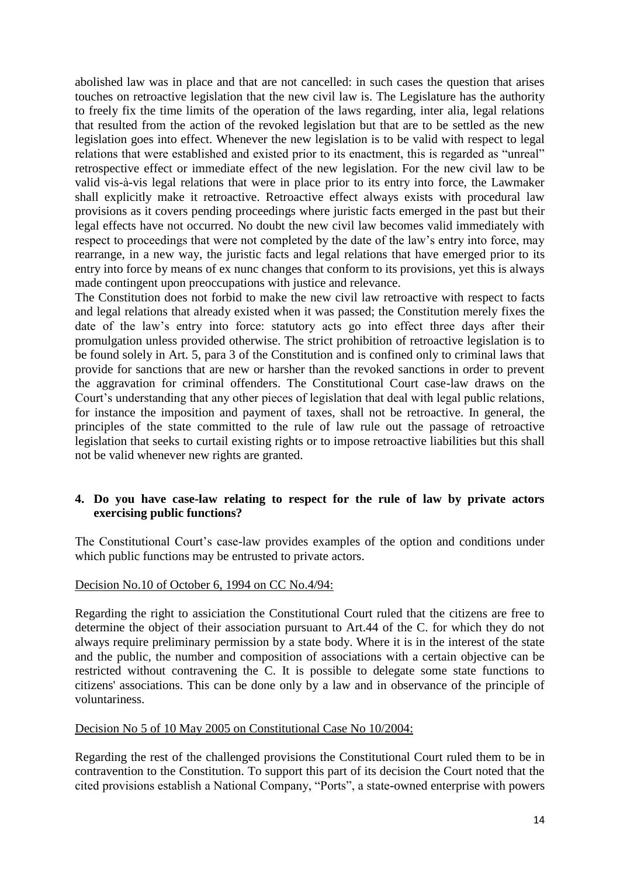abolished law was in place and that are not cancelled: in such cases the question that arises touches on retroactive legislation that the new civil law is. The Legislature has the authority to freely fix the time limits of the operation of the laws regarding, inter alia, legal relations that resulted from the action of the revoked legislation but that are to be settled as the new legislation goes into effect. Whenever the new legislation is to be valid with respect to legal relations that were established and existed prior to its enactment, this is regarded as "unreal" retrospective effect or immediate effect of the new legislation. For the new civil law to be valid vis-à-vis legal relations that were in place prior to its entry into force, the Lawmaker shall explicitly make it retroactive. Retroactive effect always exists with procedural law provisions as it covers pending proceedings where juristic facts emerged in the past but their legal effects have not occurred. No doubt the new civil law becomes valid immediately with respect to proceedings that were not completed by the date of the law's entry into force, may rearrange, in a new way, the juristic facts and legal relations that have emerged prior to its entry into force by means of ex nunc changes that conform to its provisions, yet this is always made contingent upon preoccupations with justice and relevance.

The Constitution does not forbid to make the new civil law retroactive with respect to facts and legal relations that already existed when it was passed; the Constitution merely fixes the date of the law's entry into force: statutory acts go into effect three days after their promulgation unless provided otherwise. The strict prohibition of retroactive legislation is to be found solely in Art. 5, para 3 of the Constitution and is confined only to criminal laws that provide for sanctions that are new or harsher than the revoked sanctions in order to prevent the aggravation for criminal offenders. The Constitutional Court case-law draws on the Court's understanding that any other pieces of legislation that deal with legal public relations, for instance the imposition and payment of taxes, shall not be retroactive. In general, the principles of the state committed to the rule of law rule out the passage of retroactive legislation that seeks to curtail existing rights or to impose retroactive liabilities but this shall not be valid whenever new rights are granted.

## **4. Do you have case-law relating to respect for the rule of law by private actors exercising public functions?**

The Constitutional Court's case-law provides examples of the option and conditions under which public functions may be entrusted to private actors.

#### Decision No.10 of October 6, 1994 on CC No.4/94:

Regarding the right to assiciation the Constitutional Court ruled that the citizens are free to determine the object of their association pursuant to Art.44 of the C. for which they do not always require preliminary permission by a state body. Where it is in the interest of the state and the public, the number and composition of associations with a certain objective can be restricted without contravening the C. It is possible to delegate some state functions to citizens' associations. This can be done only by a law and in observance of the principle of voluntariness.

# Decision No 5 of 10 May 2005 on Constitutional Case No 10/2004:

Regarding the rest of the challenged provisions the Constitutional Court ruled them to be in contravention to the Constitution. To support this part of its decision the Court noted that the cited provisions establish a National Company, "Ports", a state-owned enterprise with powers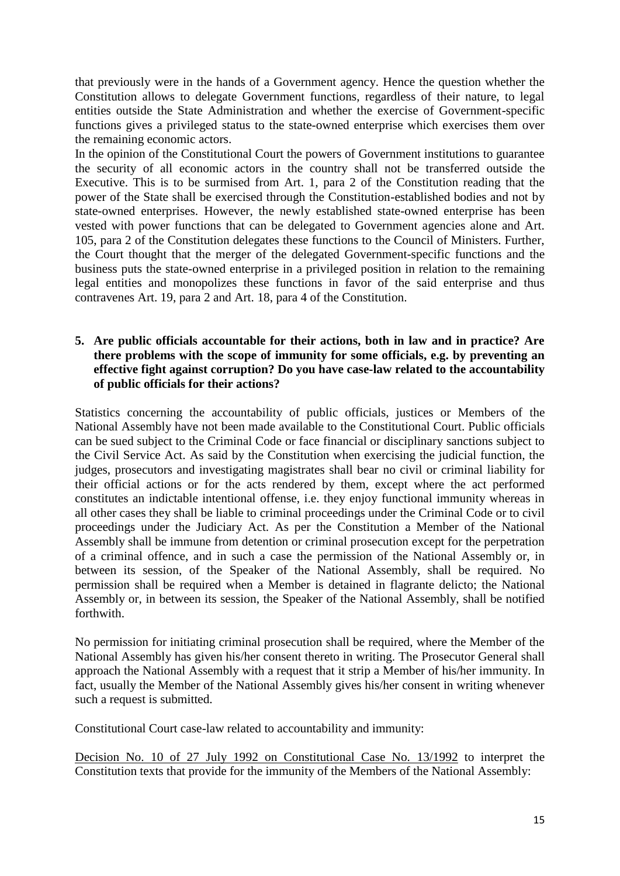that previously were in the hands of a Government agency. Hence the question whether the Constitution allows to delegate Government functions, regardless of their nature, to legal entities outside the State Administration and whether the exercise of Government-specific functions gives a privileged status to the state-owned enterprise which exercises them over the remaining economic actors.

In the opinion of the Constitutional Court the powers of Government institutions to guarantee the security of all economic actors in the country shall not be transferred outside the Executive. This is to be surmised from Art. 1, para 2 of the Constitution reading that the power of the State shall be exercised through the Constitution-established bodies and not by state-owned enterprises. However, the newly established state-owned enterprise has been vested with power functions that can be delegated to Government agencies alone and Art. 105, para 2 of the Constitution delegates these functions to the Council of Ministers. Further, the Court thought that the merger of the delegated Government-specific functions and the business puts the state-owned enterprise in a privileged position in relation to the remaining legal entities and monopolizes these functions in favor of the said enterprise and thus contravenes Art. 19, para 2 and Art. 18, para 4 of the Constitution.

# **5. Are public officials accountable for their actions, both in law and in practice? Are there problems with the scope of immunity for some officials, e.g. by preventing an effective fight against corruption? Do you have case-law related to the accountability of public officials for their actions?**

Statistics concerning the accountability of public officials, justices or Members of the National Assembly have not been made available to the Constitutional Court. Public officials can be sued subject to the Criminal Code or face financial or disciplinary sanctions subject to the Civil Service Act. As said by the Constitution when exercising the judicial function, the judges, prosecutors and investigating magistrates shall bear no civil or criminal liability for their official actions or for the acts rendered by them, except where the act performed constitutes an indictable intentional offense, i.e. they enjoy functional immunity whereas in all other cases they shall be liable to criminal proceedings under the Criminal Code or to civil proceedings under the Judiciary Act. As per the Constitution a Member of the National Assembly shall be immune from detention or criminal prosecution except for the perpetration of a criminal offence, and in such a case the permission of the National Assembly or, in between its session, of the Speaker of the National Assembly, shall be required. No permission shall be required when a Member is detained in flagrante delicto; the National Assembly or, in between its session, the Speaker of the National Assembly, shall be notified forthwith.

No permission for initiating criminal prosecution shall be required, where the Member of the National Assembly has given his/her consent thereto in writing. The Prosecutor General shall approach the National Assembly with a request that it strip a Member of his/her immunity. In fact, usually the Member of the National Assembly gives his/her consent in writing whenever such a request is submitted.

Constitutional Court case-law related to accountability and immunity:

Decision No. 10 of 27 July 1992 on Constitutional Case No. 13/1992 to interpret the Constitution texts that provide for the immunity of the Members of the National Assembly: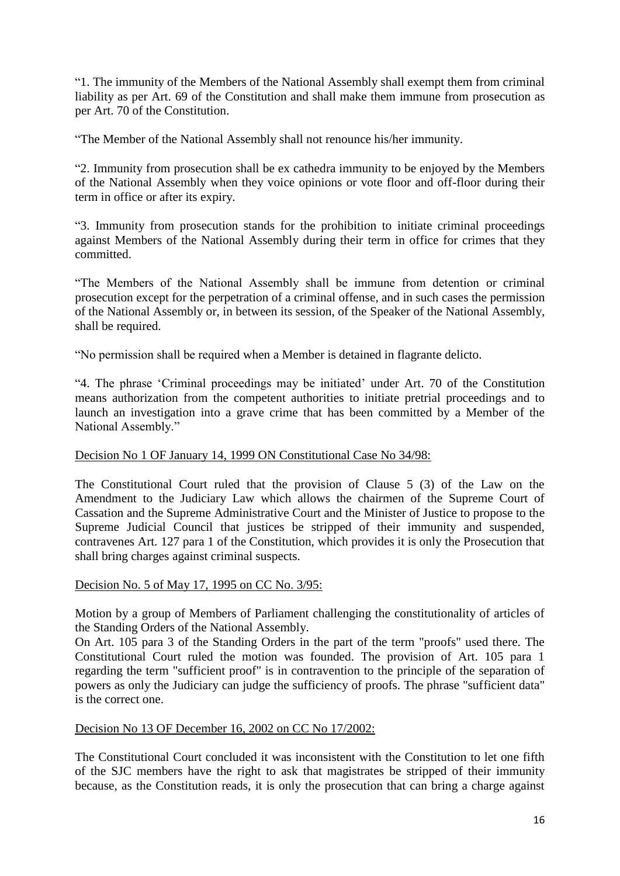"1. The immunity of the Members of the National Assembly shall exempt them from criminal liability as per Art. 69 of the Constitution and shall make them immune from prosecution as per Art. 70 of the Constitution.

"The Member of the National Assembly shall not renounce his/her immunity.

"2. Immunity from prosecution shall be ex cathedra immunity to be enjoyed by the Members of the National Assembly when they voice opinions or vote floor and off-floor during their term in office or after its expiry.

"3. Immunity from prosecution stands for the prohibition to initiate criminal proceedings against Members of the National Assembly during their term in office for crimes that they committed.

"The Members of the National Assembly shall be immune from detention or criminal prosecution except for the perpetration of a criminal offense, and in such cases the permission of the National Assembly or, in between its session, of the Speaker of the National Assembly, shall be required.

"No permission shall be required when a Member is detained in flagrante delicto.

"4. The phrase 'Criminal proceedings may be initiated' under Art. 70 of the Constitution means authorization from the competent authorities to initiate pretrial proceedings and to launch an investigation into a grave crime that has been committed by a Member of the National Assembly."

# Decision No 1 OF January 14, 1999 ON Constitutional Case No 34/98:

The Constitutional Court ruled that the provision of Clause 5 (3) of the Law on the Amendment to the Judiciary Law which allows the chairmen of the Supreme Court of Cassation and the Supreme Administrative Court and the Minister of Justice to propose to the Supreme Judicial Council that justices be stripped of their immunity and suspended, contravenes Art. 127 para 1 of the Constitution, which provides it is only the Prosecution that shall bring charges against criminal suspects.

#### Decision No. 5 of May 17, 1995 on CC No. 3/95:

Motion by a group of Members of Parliament challenging the constitutionality of articles of the Standing Orders of the National Assembly.

On Art. 105 para 3 of the Standing Orders in the part of the term "proofs" used there. The Constitutional Court ruled the motion was founded. The provision of Art. 105 para 1 regarding the term "sufficient proof" is in contravention to the principle of the separation of powers as only the Judiciary can judge the sufficiency of proofs. The phrase "sufficient data" is the correct one.

#### Decision No 13 OF December 16, 2002 on CC No 17/2002:

The Constitutional Court concluded it was inconsistent with the Constitution to let one fifth of the SJC members have the right to ask that magistrates be stripped of their immunity because, as the Constitution reads, it is only the prosecution that can bring a charge against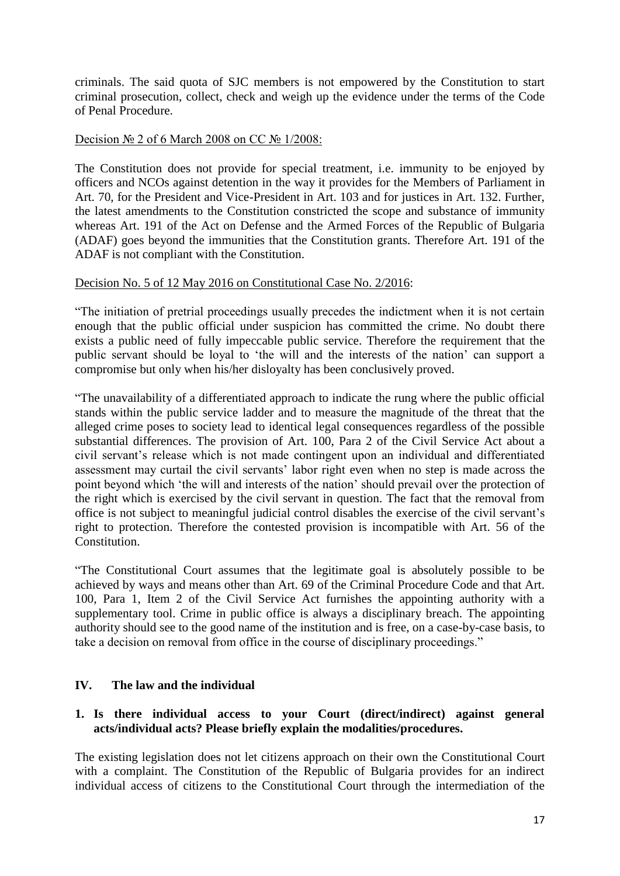criminals. The said quota of SJC members is not empowered by the Constitution to start criminal prosecution, collect, check and weigh up the evidence under the terms of the Code of Penal Procedure.

# Decision № 2 of 6 March 2008 on CC № 1/2008:

The Constitution does not provide for special treatment, i.e. immunity to be enjoyed by officers and NCOs against detention in the way it provides for the Members of Parliament in Art. 70, for the President and Vice-President in Art. 103 and for justices in Art. 132. Further, the latest amendments to the Constitution constricted the scope and substance of immunity whereas Art. 191 of the Act on Defense and the Armed Forces of the Republic of Bulgaria (ADAF) goes beyond the immunities that the Constitution grants. Therefore Art. 191 of the ADAF is not compliant with the Constitution.

#### Decision No. 5 of 12 May 2016 on Constitutional Case No. 2/2016:

"The initiation of pretrial proceedings usually precedes the indictment when it is not certain enough that the public official under suspicion has committed the crime. No doubt there exists a public need of fully impeccable public service. Therefore the requirement that the public servant should be loyal to 'the will and the interests of the nation' can support a compromise but only when his/her disloyalty has been conclusively proved.

"The unavailability of a differentiated approach to indicate the rung where the public official stands within the public service ladder and to measure the magnitude of the threat that the alleged crime poses to society lead to identical legal consequences regardless of the possible substantial differences. The provision of Art. 100, Para 2 of the Civil Service Act about a civil servant's release which is not made contingent upon an individual and differentiated assessment may curtail the civil servants' labor right even when no step is made across the point beyond which 'the will and interests of the nation' should prevail over the protection of the right which is exercised by the civil servant in question. The fact that the removal from office is not subject to meaningful judicial control disables the exercise of the civil servant's right to protection. Therefore the contested provision is incompatible with Art. 56 of the Constitution.

"The Constitutional Court assumes that the legitimate goal is absolutely possible to be achieved by ways and means other than Art. 69 of the Criminal Procedure Code and that Art. 100, Para 1, Item 2 of the Civil Service Act furnishes the appointing authority with a supplementary tool. Crime in public office is always a disciplinary breach. The appointing authority should see to the good name of the institution and is free, on a case-by-case basis, to take a decision on removal from office in the course of disciplinary proceedings."

# **IV. The law and the individual**

# **1. Is there individual access to your Court (direct/indirect) against general acts/individual acts? Please briefly explain the modalities/procedures.**

The existing legislation does not let citizens approach on their own the Constitutional Court with a complaint. The Constitution of the Republic of Bulgaria provides for an indirect individual access of citizens to the Constitutional Court through the intermediation of the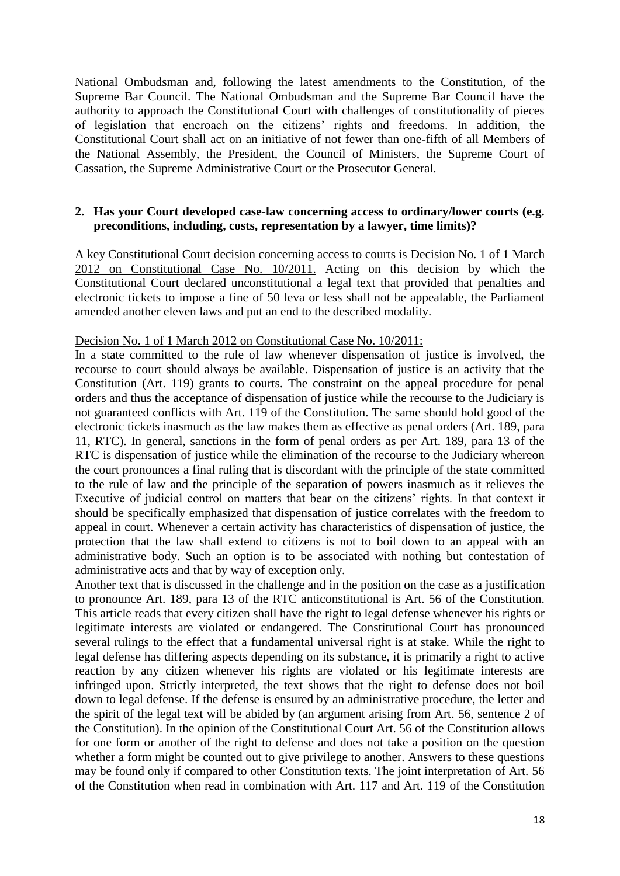National Ombudsman and, following the latest amendments to the Constitution, of the Supreme Bar Council. The National Ombudsman and the Supreme Bar Council have the authority to approach the Constitutional Court with challenges of constitutionality of pieces of legislation that encroach on the citizens' rights and freedoms. In addition, the Constitutional Court shall act on an initiative of not fewer than one-fifth of all Members of the National Assembly, the President, the Council of Ministers, the Supreme Court of Cassation, the Supreme Administrative Court or the Prosecutor General.

## **2. Has your Court developed case-law concerning access to ordinary/lower courts (e.g. preconditions, including, costs, representation by a lawyer, time limits)?**

A key Constitutional Court decision concerning access to courts is Decision No. 1 of 1 March 2012 on Constitutional Case No. 10/2011. Acting on this decision by which the Constitutional Court declared unconstitutional a legal text that provided that penalties and electronic tickets to impose a fine of 50 leva or less shall not be appealable, the Parliament amended another eleven laws and put an end to the described modality.

#### Decision No. 1 of 1 March 2012 on Constitutional Case No. 10/2011:

In a state committed to the rule of law whenever dispensation of justice is involved, the recourse to court should always be available. Dispensation of justice is an activity that the Constitution (Art. 119) grants to courts. The constraint on the appeal procedure for penal orders and thus the acceptance of dispensation of justice while the recourse to the Judiciary is not guaranteed conflicts with Art. 119 of the Constitution. The same should hold good of the electronic tickets inasmuch as the law makes them as effective as penal orders (Art. 189, para 11, RTC). In general, sanctions in the form of penal orders as per Art. 189, para 13 of the RTC is dispensation of justice while the elimination of the recourse to the Judiciary whereon the court pronounces a final ruling that is discordant with the principle of the state committed to the rule of law and the principle of the separation of powers inasmuch as it relieves the Executive of judicial control on matters that bear on the citizens' rights. In that context it should be specifically emphasized that dispensation of justice correlates with the freedom to appeal in court. Whenever a certain activity has characteristics of dispensation of justice, the protection that the law shall extend to citizens is not to boil down to an appeal with an administrative body. Such an option is to be associated with nothing but contestation of administrative acts and that by way of exception only.

Another text that is discussed in the challenge and in the position on the case as a justification to pronounce Art. 189, para 13 of the RTC anticonstitutional is Art. 56 of the Constitution. This article reads that every citizen shall have the right to legal defense whenever his rights or legitimate interests are violated or endangered. The Constitutional Court has pronounced several rulings to the effect that a fundamental universal right is at stake. While the right to legal defense has differing aspects depending on its substance, it is primarily a right to active reaction by any citizen whenever his rights are violated or his legitimate interests are infringed upon. Strictly interpreted, the text shows that the right to defense does not boil down to legal defense. If the defense is ensured by an administrative procedure, the letter and the spirit of the legal text will be abided by (an argument arising from Art. 56, sentence 2 of the Constitution). In the opinion of the Constitutional Court Art. 56 of the Constitution allows for one form or another of the right to defense and does not take a position on the question whether a form might be counted out to give privilege to another. Answers to these questions may be found only if compared to other Constitution texts. The joint interpretation of Art. 56 of the Constitution when read in combination with Art. 117 and Art. 119 of the Constitution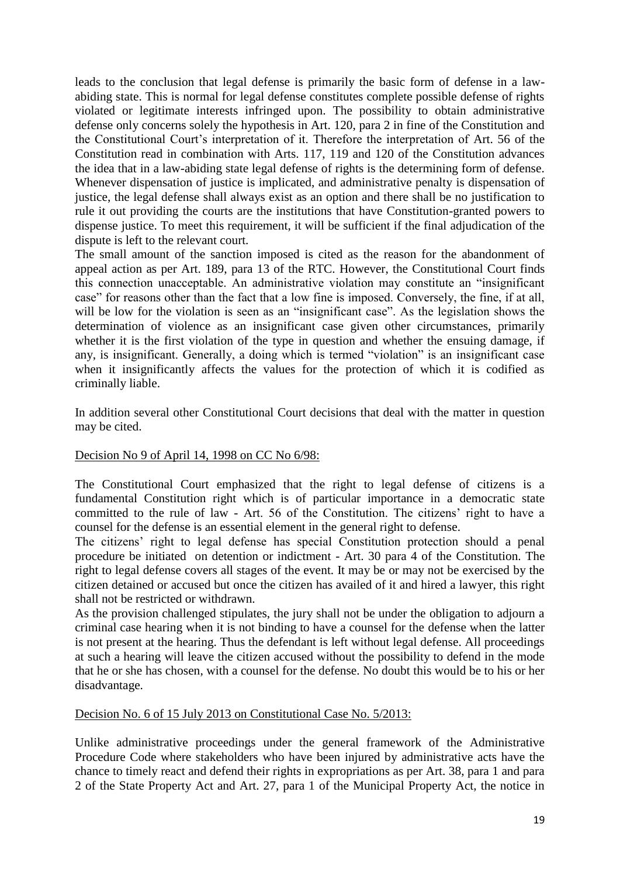leads to the conclusion that legal defense is primarily the basic form of defense in a lawabiding state. This is normal for legal defense constitutes complete possible defense of rights violated or legitimate interests infringed upon. The possibility to obtain administrative defense only concerns solely the hypothesis in Art. 120, para 2 in fine of the Constitution and the Constitutional Court's interpretation of it. Therefore the interpretation of Art. 56 of the Constitution read in combination with Arts. 117, 119 and 120 of the Constitution advances the idea that in a law-abiding state legal defense of rights is the determining form of defense. Whenever dispensation of justice is implicated, and administrative penalty is dispensation of justice, the legal defense shall always exist as an option and there shall be no justification to rule it out providing the courts are the institutions that have Constitution-granted powers to dispense justice. To meet this requirement, it will be sufficient if the final adjudication of the dispute is left to the relevant court.

The small amount of the sanction imposed is cited as the reason for the abandonment of appeal action as per Art. 189, para 13 of the RTC. However, the Constitutional Court finds this connection unacceptable. An administrative violation may constitute an "insignificant case" for reasons other than the fact that a low fine is imposed. Conversely, the fine, if at all, will be low for the violation is seen as an "insignificant case". As the legislation shows the determination of violence as an insignificant case given other circumstances, primarily whether it is the first violation of the type in question and whether the ensuing damage, if any, is insignificant. Generally, a doing which is termed "violation" is an insignificant case when it insignificantly affects the values for the protection of which it is codified as criminally liable.

In addition several other Constitutional Court decisions that deal with the matter in question may be cited.

# Decision No 9 of April 14, 1998 on CC No 6/98:

The Constitutional Court emphasized that the right to legal defense of citizens is a fundamental Constitution right which is of particular importance in a democratic state committed to the rule of law - Art. 56 of the Constitution. The citizens' right to have a counsel for the defense is an essential element in the general right to defense.

The citizens' right to legal defense has special Constitution protection should a penal procedure be initiated on detention or indictment - Art. 30 para 4 of the Constitution. The right to legal defense covers all stages of the event. It may be or may not be exercised by the citizen detained or accused but once the citizen has availed of it and hired a lawyer, this right shall not be restricted or withdrawn.

As the provision challenged stipulates, the jury shall not be under the obligation to adjourn a criminal case hearing when it is not binding to have a counsel for the defense when the latter is not present at the hearing. Thus the defendant is left without legal defense. All proceedings at such a hearing will leave the citizen accused without the possibility to defend in the mode that he or she has chosen, with a counsel for the defense. No doubt this would be to his or her disadvantage.

Decision No. 6 of 15 July 2013 on Constitutional Case No. 5/2013:

Unlike administrative proceedings under the general framework of the Administrative Procedure Code where stakeholders who have been injured by administrative acts have the chance to timely react and defend their rights in expropriations as per Art. 38, para 1 and para 2 of the State Property Act and Art. 27, para 1 of the Municipal Property Act, the notice in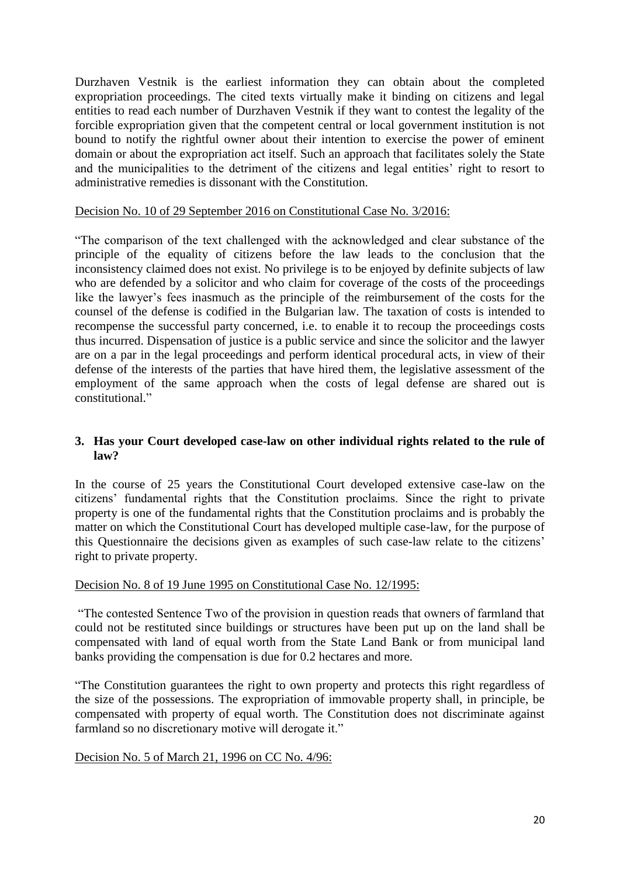Durzhaven Vestnik is the earliest information they can obtain about the completed expropriation proceedings. The cited texts virtually make it binding on citizens and legal entities to read each number of Durzhaven Vestnik if they want to contest the legality of the forcible expropriation given that the competent central or local government institution is not bound to notify the rightful owner about their intention to exercise the power of eminent domain or about the expropriation act itself. Such an approach that facilitates solely the State and the municipalities to the detriment of the citizens and legal entities' right to resort to administrative remedies is dissonant with the Constitution.

### Decision No. 10 of 29 September 2016 on Constitutional Case No. 3/2016:

"The comparison of the text challenged with the acknowledged and clear substance of the principle of the equality of citizens before the law leads to the conclusion that the inconsistency claimed does not exist. No privilege is to be enjoyed by definite subjects of law who are defended by a solicitor and who claim for coverage of the costs of the proceedings like the lawyer's fees inasmuch as the principle of the reimbursement of the costs for the counsel of the defense is codified in the Bulgarian law. The taxation of costs is intended to recompense the successful party concerned, i.e. to enable it to recoup the proceedings costs thus incurred. Dispensation of justice is a public service and since the solicitor and the lawyer are on a par in the legal proceedings and perform identical procedural acts, in view of their defense of the interests of the parties that have hired them, the legislative assessment of the employment of the same approach when the costs of legal defense are shared out is constitutional."

## **3. Has your Court developed case-law on other individual rights related to the rule of law?**

In the course of 25 years the Constitutional Court developed extensive case-law on the citizens' fundamental rights that the Constitution proclaims. Since the right to private property is one of the fundamental rights that the Constitution proclaims and is probably the matter on which the Constitutional Court has developed multiple case-law, for the purpose of this Questionnaire the decisions given as examples of such case-law relate to the citizens' right to private property.

#### Decision No. 8 of 19 June 1995 on Constitutional Case No. 12/1995:

"The contested Sentence Two of the provision in question reads that owners of farmland that could not be restituted since buildings or structures have been put up on the land shall be compensated with land of equal worth from the State Land Bank or from municipal land banks providing the compensation is due for 0.2 hectares and more.

"The Constitution guarantees the right to own property and protects this right regardless of the size of the possessions. The expropriation of immovable property shall, in principle, be compensated with property of equal worth. The Constitution does not discriminate against farmland so no discretionary motive will derogate it."

# Decision No. 5 of March 21, 1996 on CC No. 4/96: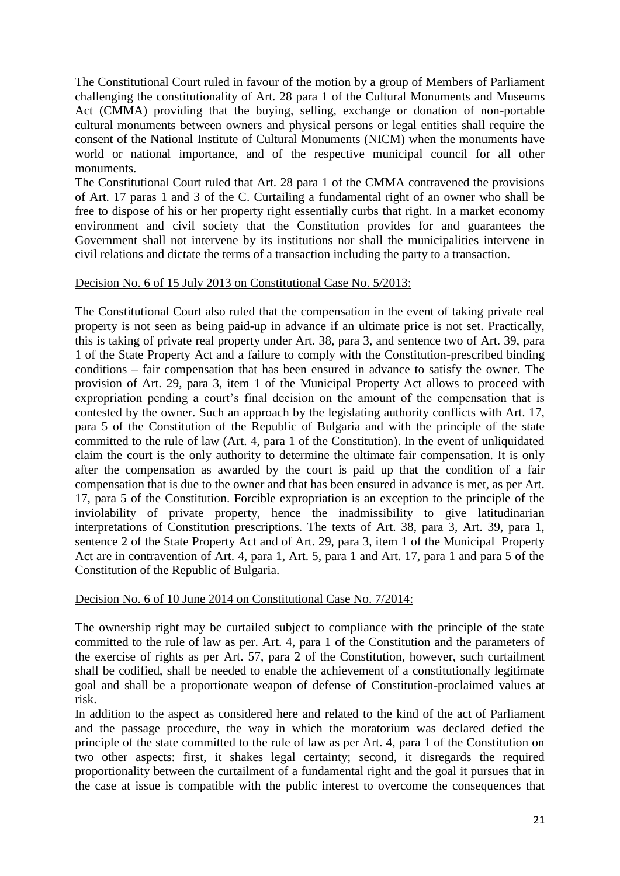The Constitutional Court ruled in favour of the motion by a group of Members of Parliament challenging the constitutionality of Art. 28 para 1 of the Cultural Monuments and Museums Act (CMMA) providing that the buying, selling, exchange or donation of non-portable cultural monuments between owners and physical persons or legal entities shall require the consent of the National Institute of Cultural Monuments (NICM) when the monuments have world or national importance, and of the respective municipal council for all other monuments.

The Constitutional Court ruled that Art. 28 para 1 of the CMMA contravened the provisions of Art. 17 paras 1 and 3 of the C. Curtailing a fundamental right of an owner who shall be free to dispose of his or her property right essentially curbs that right. In a market economy environment and civil society that the Constitution provides for and guarantees the Government shall not intervene by its institutions nor shall the municipalities intervene in civil relations and dictate the terms of a transaction including the party to a transaction.

## Decision No. 6 of 15 July 2013 on Constitutional Case No. 5/2013:

The Constitutional Court also ruled that the compensation in the event of taking private real property is not seen as being paid-up in advance if an ultimate price is not set. Practically, this is taking of private real property under Art. 38, para 3, and sentence two of Art. 39, para 1 of the State Property Act and a failure to comply with the Constitution-prescribed binding conditions – fair compensation that has been ensured in advance to satisfy the owner. The provision of Art. 29, para 3, item 1 of the Municipal Property Act allows to proceed with expropriation pending a court's final decision on the amount of the compensation that is contested by the owner. Such an approach by the legislating authority conflicts with Art. 17, para 5 of the Constitution of the Republic of Bulgaria and with the principle of the state committed to the rule of law (Art. 4, para 1 of the Constitution). In the event of unliquidated claim the court is the only authority to determine the ultimate fair compensation. It is only after the compensation as awarded by the court is paid up that the condition of a fair compensation that is due to the owner and that has been ensured in advance is met, as per Art. 17, para 5 of the Constitution. Forcible expropriation is an exception to the principle of the inviolability of private property, hence the inadmissibility to give latitudinarian interpretations of Constitution prescriptions. The texts of Art. 38, para 3, Art. 39, para 1, sentence 2 of the State Property Act and of Art. 29, para 3, item 1 of the Municipal Property Act are in contravention of Art. 4, para 1, Art. 5, para 1 and Art. 17, para 1 and para 5 of the Constitution of the Republic of Bulgaria.

# Decision No. 6 of 10 June 2014 on Constitutional Case No. 7/2014:

The ownership right may be curtailed subject to compliance with the principle of the state committed to the rule of law as per. Art. 4, para 1 of the Constitution and the parameters of the exercise of rights as per Art. 57, para 2 of the Constitution, however, such curtailment shall be codified, shall be needed to enable the achievement of a constitutionally legitimate goal and shall be a proportionate weapon of defense of Constitution-proclaimed values at risk.

In addition to the aspect as considered here and related to the kind of the act of Parliament and the passage procedure, the way in which the moratorium was declared defied the principle of the state committed to the rule of law as per Art. 4, para 1 of the Constitution on two other aspects: first, it shakes legal certainty; second, it disregards the required proportionality between the curtailment of a fundamental right and the goal it pursues that in the case at issue is compatible with the public interest to overcome the consequences that